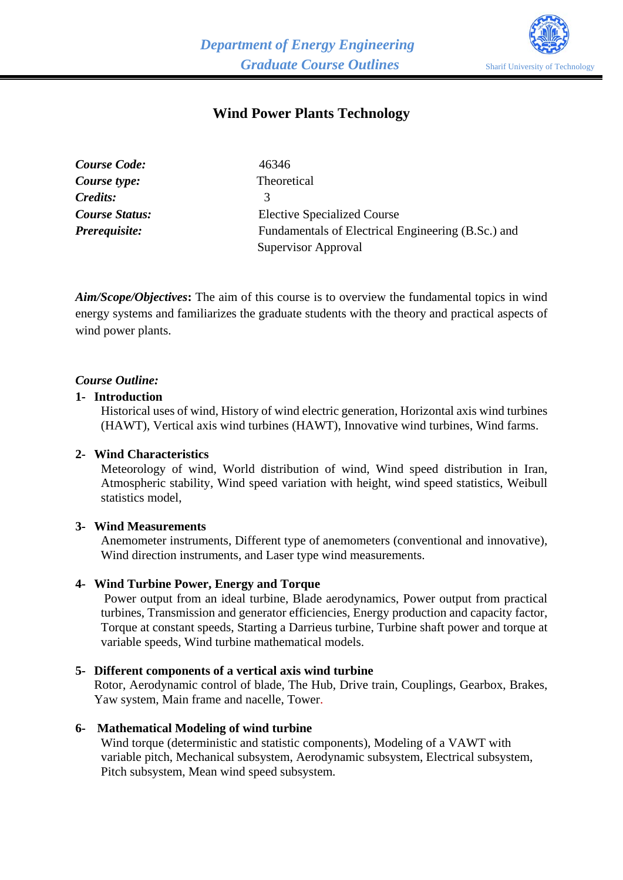

# **Wind Power Plants Technology**

| <b>Course Code:</b>   | 46346                                              |
|-----------------------|----------------------------------------------------|
| Course type:          | Theoretical                                        |
| Credits:              | 3                                                  |
| <b>Course Status:</b> | <b>Elective Specialized Course</b>                 |
| Prerequisite:         | Fundamentals of Electrical Engineering (B.Sc.) and |
|                       | Supervisor Approval                                |

*Aim/Scope/Objectives***:** The aim of this course is to overview the fundamental topics in wind energy systems and familiarizes the graduate students with the theory and practical aspects of wind power plants.

### *Course Outline:*

#### **1- Introduction**

Historical uses of wind, History of wind electric generation, Horizontal axis wind turbines (HAWT), Vertical axis wind turbines (HAWT), Innovative wind turbines, Wind farms.

#### **2- Wind Characteristics**

Meteorology of wind, World distribution of wind, Wind speed distribution in Iran, Atmospheric stability, Wind speed variation with height, wind speed statistics, Weibull statistics model,

#### **3- Wind Measurements**

Anemometer instruments, Different type of anemometers (conventional and innovative), Wind direction instruments, and Laser type wind measurements.

#### **4- Wind Turbine Power, Energy and Torque**

Power output from an ideal turbine, Blade aerodynamics, Power output from practical turbines, Transmission and generator efficiencies, Energy production and capacity factor, Torque at constant speeds, Starting a Darrieus turbine, Turbine shaft power and torque at variable speeds, Wind turbine mathematical models.

#### **5- Different components of a vertical axis wind turbine**

Rotor, Aerodynamic control of blade, The Hub, Drive train, Couplings, Gearbox, Brakes, Yaw system, Main frame and nacelle, Tower.

### **6- Mathematical Modeling of wind turbine**

Wind torque (deterministic and statistic components), Modeling of a VAWT with variable pitch, Mechanical subsystem, Aerodynamic subsystem, Electrical subsystem, Pitch subsystem, Mean wind speed subsystem.